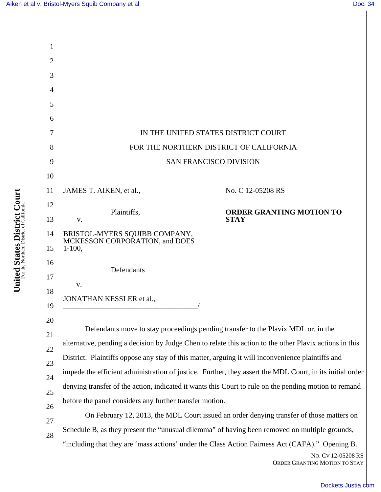

ORDER GRANTING MOTION TO STAY

[Dockets.Justia.com](http://dockets.justia.com/)